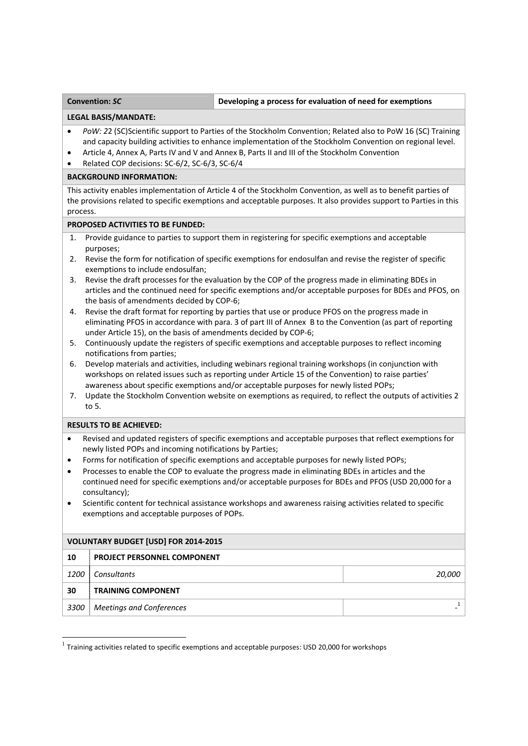# **Developing a** process for evaluation of need for exemptions

#### **LEGAL BASIS/MANDATE:**

- *PoW: 2*2 (SC)Scientific support to Parties of the Stockholm Convention; Related also to PoW 16 (SC) Training and capacity building activities to enhance implementation of the Stockholm Convention on regional level.
- Article 4, Annex A, Parts IV and V and Annex B, Parts II and III of the Stockholm Convention
- Related COP decisions: SC‐6/2, SC‐6/3, SC‐6/4

# **BACKGROUND INFORMATION:**

This activity enables implementation of Article 4 of the Stockholm Convention, as well as to benefit parties of the provisions related to specific exemptions and acceptable purposes. It also provides support to Parties in this process.

### **PROPOSED ACTIVITIES TO BE FUNDED:**

- 1. Provide guidance to parties to support them in registering for specific exemptions and acceptable purposes;
- 2. Revise the form for notification of specific exemptions for endosulfan and revise the register of specific exemptions to include endosulfan;
- 3. Revise the draft processes for the evaluation by the COP of the progress made in eliminating BDEs in articles and the continued need for specific exemptions and/or acceptable purposes for BDEs and PFOS, on the basis of amendments decided by COP‐6;
- 4. Revise the draft format for reporting by parties that use or produce PFOS on the progress made in eliminating PFOS in accordance with para. 3 of part III of Annex B to the Convention (as part of reporting under Article 15), on the basis of amendments decided by COP‐6;
- 5. Continuously update the registers of specific exemptions and acceptable purposes to reflect incoming notifications from parties;
- 6. Develop materials and activities, including webinars regional training workshops (in conjunction with workshops on related issues such as reporting under Article 15 of the Convention) to raise parties' awareness about specific exemptions and/or acceptable purposes for newly listed POPs;
- 7. Update the Stockholm Convention website on exemptions as required, to reflect the outputs of activities 2 to 5.

# **RESULTS TO BE ACHIEVED:**

- Revised and updated registers of specific exemptions and acceptable purposes that reflect exemptions for newly listed POPs and incoming notifications by Parties;
- Forms for notification of specific exemptions and acceptable purposes for newly listed POPs;
- Processes to enable the COP to evaluate the progress made in eliminating BDEs in articles and the continued need for specific exemptions and/or acceptable purposes for BDEs and PFOS (USD 20,000 for a consultancy);
- Scientific content for technical assistance workshops and awareness raising activities related to specific exemptions and acceptable purposes of POPs.

| <b>VOLUNTARY BUDGET [USD] FOR 2014-2015</b> |                                    |        |
|---------------------------------------------|------------------------------------|--------|
| 10                                          | <b>PROJECT PERSONNEL COMPONENT</b> |        |
| <i>1200</i>                                 | <b>Consultants</b>                 | 20,000 |
| 30                                          | <b>TRAINING COMPONENT</b>          |        |
| 3300                                        | <b>Meetings and Conferences</b>    |        |

 $1$  Training activities related to specific exemptions and acceptable purposes: USD 20,000 for workshops